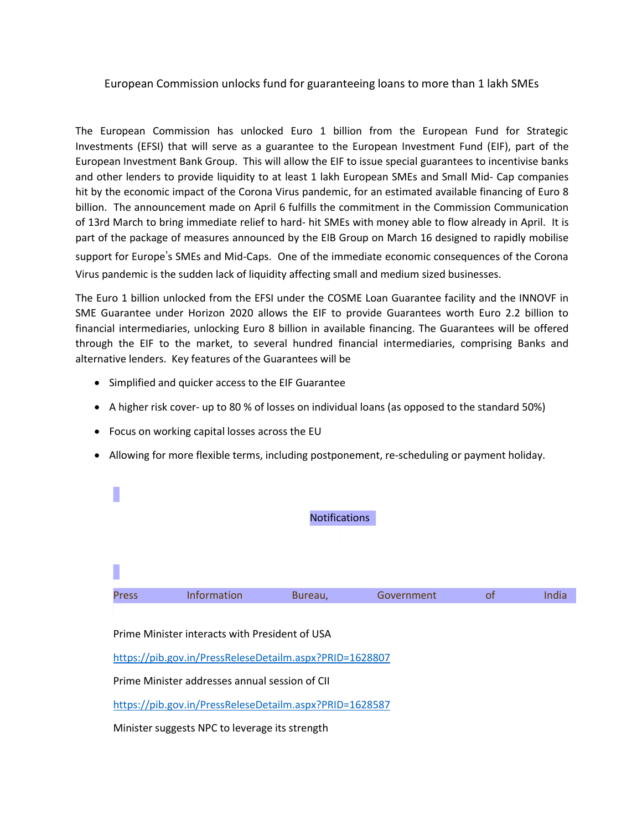## European Commission unlocks fund for guaranteeing loans to more than 1 lakh SMEs

The European Commission has unlocked Euro 1 billion from the European Fund for Strategic Investments (EFSI) that will serve as a guarantee to the European Investment Fund (EIF), part of the European Investment Bank Group. This will allow the EIF to issue special guarantees to incentivise banks and other lenders to provide liquidity to at least 1 lakh European SMEs and Small Mid- Cap companies hit by the economic impact of the Corona Virus pandemic, for an estimated available financing of Euro 8 billion. The announcement made on April 6 fulfills the commitment in the Commission Communication of 13rd March to bring immediate relief to hard- hit SMEs with money able to flow already in April. It is part of the package of measures announced by the EIB Group on March 16 designed to rapidly mobilise support for Europe's SMEs and Mid-Caps. One of the immediate economic consequences of the Corona Virus pandemic is the sudden lack of liquidity affecting small and medium sized businesses.

The Euro 1 billion unlocked from the EFSI under the COSME Loan Guarantee facility and the INNOVF in SME Guarantee under Horizon 2020 allows the EIF to provide Guarantees worth Euro 2.2 billion to financial intermediaries, unlocking Euro 8 billion in available financing. The Guarantees will be offered through the EIF to the market, to several hundred financial intermediaries, comprising Banks and alternative lenders. Key features of the Guarantees will be

- Simplified and quicker access to the EIF Guarantee
- A higher risk cover- up to 80 % of losses on individual loans (as opposed to the standard 50%)
- Focus on working capital losses across the EU

 $\overline{\phantom{a}}$ 

• Allowing for more flexible terms, including postponement, re-scheduling or payment holiday.

|                                                         |                                                         | <b>Notifications</b> |            |    |       |
|---------------------------------------------------------|---------------------------------------------------------|----------------------|------------|----|-------|
|                                                         |                                                         |                      |            |    |       |
| <b>Press</b>                                            | Information                                             | Bureau,              | Government | of | India |
|                                                         | Prime Minister interacts with President of USA          |                      |            |    |       |
|                                                         | https://pib.gov.in/PressReleseDetailm.aspx?PRID=1628807 |                      |            |    |       |
|                                                         | Prime Minister addresses annual session of CII          |                      |            |    |       |
| https://pib.gov.in/PressReleseDetailm.aspx?PRID=1628587 |                                                         |                      |            |    |       |
|                                                         | Minister suggests NPC to leverage its strength          |                      |            |    |       |